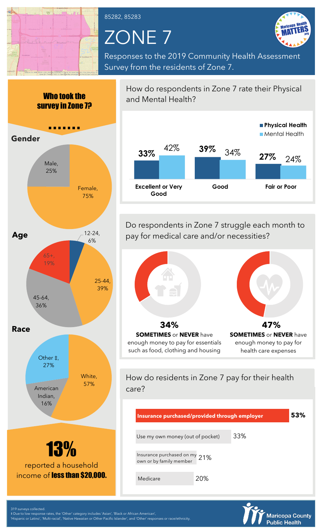

85282, 85283

## ZONE 7



Responses to the 2019 Community Health Assessment Survey from the residents of Zone 7.





Do respondents in Zone 7 struggle each month to pay for medical care and/or necessities?



How do residents in Zone 7 pay for their health care?

| Insurance purchased/provided through employer            |     | 53% |
|----------------------------------------------------------|-----|-----|
| Use my own money (out of pocket)                         | 33% |     |
| Insurance purchased on my 21%<br>own or by family member |     |     |
| 20%<br>Medicare                                          |     |     |



319 surveys collected.

‡ Due to low response rates, the 'Other' category includes 'Asian', 'Black or African American', 'Hispanic or Latino', 'Multi-racial', 'Native Hawaiian or Other Pacific Islander', and 'Other' responses or race/ethnicity.